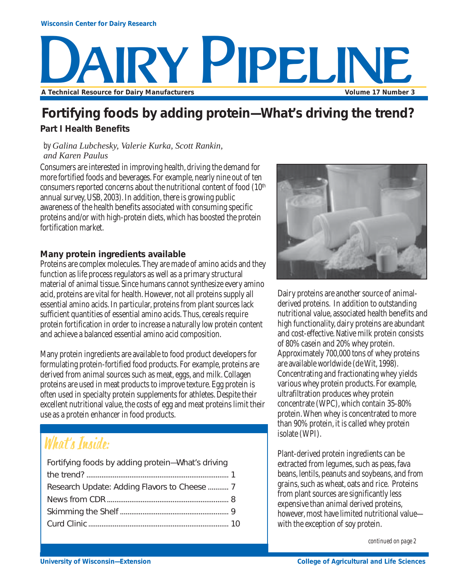

# **Fortifying foods by adding protein—What's driving the trend?**

## **Part I Health Benefits**

#### *by Galina Lubchesky, Valerie Kurka, Scott Rankin, and Karen Paulus*

Consumers are interested in improving health, driving the demand for more fortified foods and beverages. For example, nearly nine out of ten consumers reported concerns about the nutritional content of food (10<sup>th</sup> annual survey, USB, 2003). In addition, there is growing public awareness of the health benefits associated with consuming specific proteins and/or with high-protein diets, which has boosted the protein fortification market.

#### **Many protein ingredients available**

Proteins are complex molecules. They are made of amino acids and they function as life process regulators as well as a primary structural material of animal tissue. Since humans cannot synthesize every amino acid, proteins are vital for health. However, not all proteins supply all essential amino acids. In particular, proteins from plant sources lack sufficient quantities of essential amino acids. Thus, cereals require protein fortification in order to increase a naturally low protein content and achieve a balanced essential amino acid composition.

Many protein ingredients are available to food product developers for formulating protein-fortified food products. For example, proteins are derived from animal sources such as meat, eggs, and milk. Collagen proteins are used in meat products to improve texture. Egg protein is often used in specialty protein supplements for athletes. Despite their excellent nutritional value, the costs of egg and meat proteins limit their use as a protein enhancer in food products.

# What's Inside:

| Fortifying foods by adding protein-What's driving |  |
|---------------------------------------------------|--|
|                                                   |  |
|                                                   |  |
|                                                   |  |
|                                                   |  |
|                                                   |  |
|                                                   |  |



Dairy proteins are another source of animalderived proteins. In addition to outstanding nutritional value, associated health benefits and high functionality, dairy proteins are abundant and cost-effective. Native milk protein consists of 80% casein and 20% whey protein. Approximately 700,000 tons of whey proteins are available worldwide (de Wit, 1998). Concentrating and fractionating whey yields various whey protein products. For example, ultrafiltration produces whey protein concentrate (WPC), which contain 35-80% protein. When whey is concentrated to more than 90% protein, it is called whey protein isolate (WPI).

Plant-derived protein ingredients can be extracted from legumes, such as peas, fava beans, lentils, peanuts and soybeans, and from grains, such as wheat, oats and rice. Proteins from plant sources are significantly less expensive than animal derived proteins, however, most have limited nutritional value with the exception of soy protein.

*continued on page 2*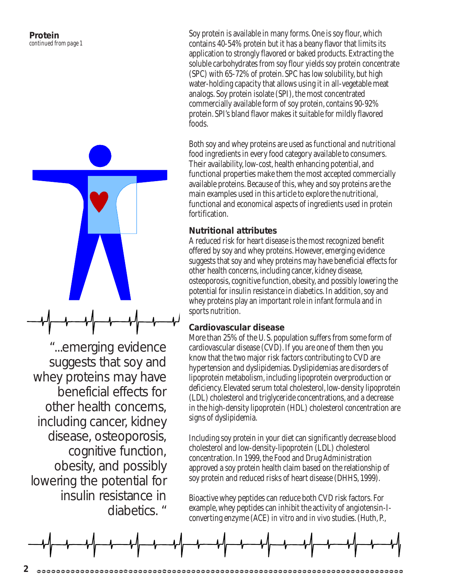

"...emerging evidence suggests that soy and whey proteins may have beneficial effects for other health concerns, including cancer, kidney disease, osteoporosis, cognitive function, obesity, and possibly lowering the potential for insulin resistance in diabetics. "

Soy protein is available in many forms. One is soy flour, which contains 40-54% protein but it has a beany flavor that limits its application to strongly flavored or baked products. Extracting the soluble carbohydrates from soy flour yields soy protein concentrate (SPC) with 65-72% of protein. SPC has low solubility, but high water-holding capacity that allows using it in all-vegetable meat analogs. Soy protein isolate (SPI), the most concentrated commercially available form of soy protein, contains 90-92% protein. SPI's bland flavor makes it suitable for mildly flavored foods.

Both soy and whey proteins are used as functional and nutritional food ingredients in every food category available to consumers. Their availability, low-cost, health enhancing potential, and functional properties make them the most accepted commercially available proteins. Because of this, whey and soy proteins are the main examples used in this article to explore the nutritional, functional and economical aspects of ingredients used in protein fortification.

#### **Nutritional attributes**

A reduced risk for heart disease is the most recognized benefit offered by soy and whey proteins. However, emerging evidence suggests that soy and whey proteins may have beneficial effects for other health concerns, including cancer, kidney disease, osteoporosis, cognitive function, obesity, and possibly lowering the potential for insulin resistance in diabetics. In addition, soy and whey proteins play an important role in infant formula and in sports nutrition.

#### **Cardiovascular disease**

More than 25% of the U. S. population suffers from some form of cardiovascular disease (CVD). If you are one of them then you know that the two major risk factors contributing to CVD are hypertension and dyslipidemias. Dyslipidemias are disorders of lipoprotein metabolism, including lipoprotein overproduction or deficiency. Elevated serum total cholesterol, low-density lipoprotein (LDL) cholesterol and triglyceride concentrations, and a decrease in the high-density lipoprotein (HDL) cholesterol concentration are signs of dyslipidemia.

Including soy protein in your diet can significantly decrease blood cholesterol and low-density-lipoprotein (LDL) cholesterol concentration. In 1999, the Food and Drug Administration approved a soy protein health claim based on the relationship of soy protein and reduced risks of heart disease (DHHS, 1999).

Bioactive whey peptides can reduce both CVD risk factors. For example, whey peptides can inhibit the activity of angiotensin-Iconverting enzyme (ACE) *in vitro* and *in vivo* studies. (Huth, P.,

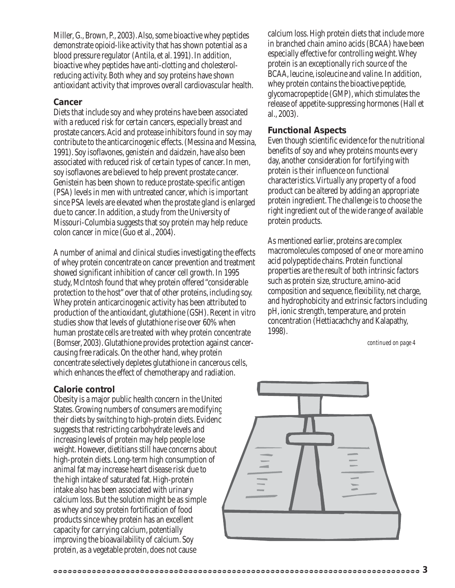Miller, G., Brown, P., 2003). Also, some bioactive whey peptides demonstrate opioid-like activity that has shown potential as a blood pressure regulator (Antila, et al. 1991). In addition, bioactive whey peptides have anti-clotting and cholesterolreducing activity. Both whey and soy proteins have shown antioxidant activity that improves overall cardiovascular health.

#### **Cancer**

Diets that include soy and whey proteins have been associated with a reduced risk for certain cancers, especially breast and prostate cancers. Acid and protease inhibitors found in soy may contribute to the anticarcinogenic effects. (Messina and Messina, 1991). Soy isoflavones, genistein and daidzein, have also been associated with reduced risk of certain types of cancer. In men, soy isoflavones are believed to help prevent prostate cancer. Genistein has been shown to reduce prostate-specific antigen (PSA) levels in men with untreated cancer, which is important since PSA levels are elevated when the prostate gland is enlarged due to cancer. In addition, a study from the University of Missouri-Columbia suggests that soy protein may help reduce colon cancer in mice (Guo et al., 2004).

A number of animal and clinical studies investigating the effects of whey protein concentrate on cancer prevention and treatment showed significant inhibition of cancer cell growth. In 1995 study, McIntosh found that whey protein offered "considerable protection to the host" over that of other proteins, including soy. Whey protein anticarcinogenic activity has been attributed to production of the antioxidant, glutathione (GSH). Recent *in vitro* studies show that levels of glutathione rise over 60% when human prostate cells are treated with whey protein concentrate (Bomser, 2003). Glutathione provides protection against cancercausing free radicals. On the other hand, whey protein concentrate selectively depletes glutathione in cancerous cells, which enhances the effect of chemotherapy and radiation.

#### **Calorie control**

Obesity is a major public health concern in the United States. Growing numbers of consumers are modifying their diets by switching to high-protein diets. Evidence suggests that restricting carbohydrate levels and increasing levels of protein may help people lose weight. However, dietitians still have concerns about high-protein diets. Long-term high consumption of animal fat may increase heart disease risk due to the high intake of saturated fat. High-protein intake also has been associated with urinary calcium loss. But the solution might be as simple as whey and soy protein fortification of food products since whey protein has an excellent capacity for carrying calcium, potentially improving the bioavailability of calcium. Soy protein, as a vegetable protein, does not cause

calcium loss. High protein diets that include more in branched chain amino acids (BCAA) have been especially effective for controlling weight. Whey protein is an exceptionally rich source of the BCAA, leucine, isoleucine and valine. In addition, whey protein contains the bioactive peptide, glycomacropeptide (GMP), which stimulates the release of appetite-suppressing hormones (Hall et al., 2003).

#### **Functional Aspects**

Even though scientific evidence for the nutritional benefits of soy and whey proteins mounts every day, another consideration for fortifying with protein is their influence on functional characteristics. Virtually any property of a food product can be altered by adding an appropriate protein ingredient. The challenge is to choose the right ingredient out of the wide range of available protein products.

As mentioned earlier, proteins are complex macromolecules composed of one or more amino acid polypeptide chains. Protein functional properties are the result of both intrinsic factors such as protein size, structure, amino-acid composition and sequence, flexibility, net charge, and hydrophobicity and extrinsic factors including pH, ionic strength, temperature, and protein concentration (Hettiacachchy and Kalapathy, 1998).

*continued on page 4*

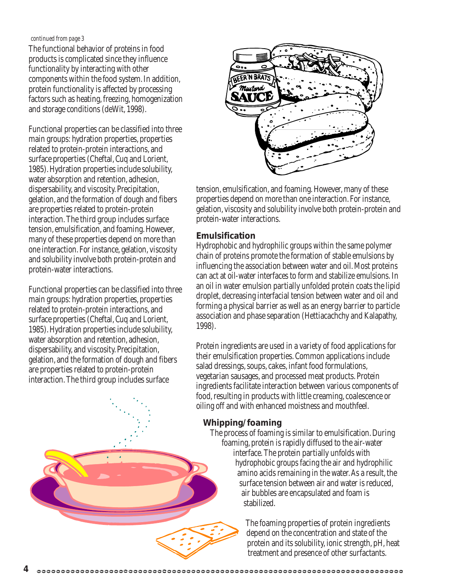#### *continued from page 3*

The functional behavior of proteins in food products is complicated since they influence functionality by interacting with other components within the food system. In addition, protein functionality is affected by processing factors such as heating, freezing, homogenization and storage conditions (deWit, 1998).

Functional properties can be classified into three main groups: hydration properties, properties related to protein-protein interactions, and surface properties (Cheftal, Cuq and Lorient, 1985). Hydration properties include solubility, water absorption and retention, adhesion, dispersability, and viscosity. Precipitation, gelation, and the formation of dough and fibers are properties related to protein-protein interaction. The third group includes surface tension, emulsification, and foaming. However, many of these properties depend on more than one interaction. For instance, gelation, viscosity and solubility involve both protein-protein and protein-water interactions.

Functional properties can be classified into three main groups: hydration properties, properties related to protein-protein interactions, and surface properties (Cheftal, Cuq and Lorient, 1985). Hydration properties include solubility, water absorption and retention, adhesion, dispersability, and viscosity. Precipitation, gelation, and the formation of dough and fibers are properties related to protein-protein interaction. The third group includes surface



tension, emulsification, and foaming. However, many of these properties depend on more than one interaction. For instance, gelation, viscosity and solubility involve both protein-protein and protein-water interactions.

#### **Emulsification**

Hydrophobic and hydrophilic groups within the same polymer chain of proteins promote the formation of stable emulsions by influencing the association between water and oil. Most proteins can act at oil-water interfaces to form and stabilize emulsions. In an oil in water emulsion partially unfolded protein coats the lipid droplet, decreasing interfacial tension between water and oil and forming a physical barrier as well as an energy barrier to particle association and phase separation (Hettiacachchy and Kalapathy, 1998).

Protein ingredients are used in a variety of food applications for their emulsification properties. Common applications include salad dressings, soups, cakes, infant food formulations, vegetarian sausages, and processed meat products. Protein ingredients facilitate interaction between various components of food, resulting in products with little creaming, coalescence or oiling off and with enhanced moistness and mouthfeel.

### **Whipping/foaming**

The process of foaming is similar to emulsification. During foaming, protein is rapidly diffused to the air-water interface. The protein partially unfolds with hydrophobic groups facing the air and hydrophilic amino acids remaining in the water. As a result, the surface tension between air and water is reduced, air bubbles are encapsulated and foam is stabilized.

> The foaming properties of protein ingredients depend on the concentration and state of the protein and its solubility, ionic strength, pH, heat treatment and presence of other surfactants.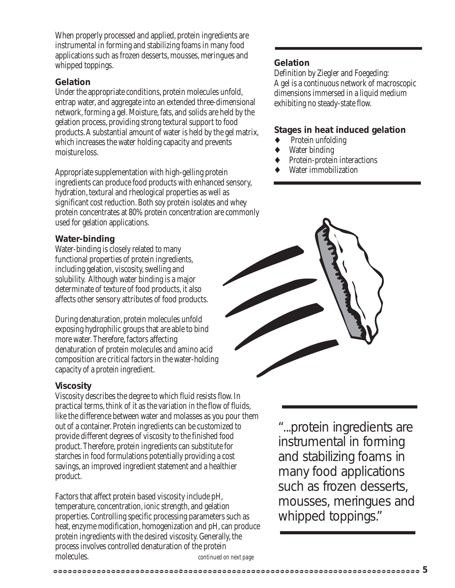When properly processed and applied, protein ingredients are instrumental in forming and stabilizing foams in many food applications such as frozen desserts, mousses, meringues and whipped toppings.

#### **Gelation**

Under the appropriate conditions, protein molecules unfold, entrap water, and aggregate into an extended three-dimensional network, forming a gel. Moisture, fats, and solids are held by the gelation process, providing strong textural support to food products. A substantial amount of water is held by the gel matrix, which increases the water holding capacity and prevents moisture loss.

Appropriate supplementation with high-gelling protein ingredients can produce food products with enhanced sensory, hydration, textural and rheological properties as well as significant cost reduction. Both soy protein isolates and whey protein concentrates at 80% protein concentration are commonly used for gelation applications.

#### **Water-binding**

Water-binding is closely related to many functional properties of protein ingredients, including gelation, viscosity, swelling and solubility. Although water binding is a major determinate of texture of food products, it also affects other sensory attributes of food products.

During denaturation, protein molecules unfold exposing hydrophilic groups that are able to bind more water. Therefore, factors affecting denaturation of protein molecules and amino acid composition are critical factors in the water-holding capacity of a protein ingredient.

#### **Viscosity**

Viscosity describes the degree to which fluid resists flow. In practical terms, think of it as the variation in the flow of fluids, like the difference between water and molasses as you pour them out of a container. Protein ingredients can be customized to provide different degrees of viscosity to the finished food product. Therefore, protein ingredients can substitute for starches in food formulations potentially providing a cost savings, an improved ingredient statement and a healthier product.

Factors that affect protein based viscosity include pH, temperature, concentration, ionic strength, and gelation properties. Controlling specific processing parameters such as heat, enzyme modification, homogenization and pH, can produce protein ingredients with the desired viscosity. Generally, the process involves controlled denaturation of the protein molecules. *continued on next page*

#### **Gelation**

Definition by Ziegler and Foegeding: A gel is a continuous network of macroscopic dimensions immersed in a liquid medium exhibiting no steady-state flow.

#### **Stages in heat induced gelation**

- Protein unfolding
- Water binding
- Protein-protein interactions
- Water immobilization



"...protein ingredients are instrumental in forming and stabilizing foams in many food applications such as frozen desserts, mousses, meringues and whipped toppings."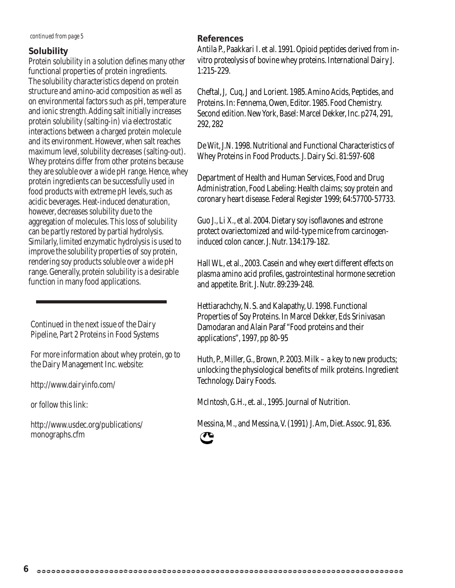*continued from page 5*

### **Solubility**

Protein solubility in a solution defines many other functional properties of protein ingredients. The solubility characteristics depend on protein structure and amino-acid composition as well as on environmental factors such as pH, temperature and ionic strength. Adding salt initially increases protein solubility (salting-in) via electrostatic interactions between a charged protein molecule and its environment. However, when salt reaches maximum level, solubility decreases (salting-out). Whey proteins differ from other proteins because they are soluble over a wide pH range. Hence, whey protein ingredients can be successfully used in food products with extreme pH levels, such as acidic beverages. Heat-induced denaturation, however, decreases solubility due to the aggregation of molecules. This loss of solubility can be partly restored by partial hydrolysis. Similarly, limited enzymatic hydrolysis is used to improve the solubility properties of soy protein, rendering soy products soluble over a wide pH range. Generally, protein solubility is a desirable function in many food applications.

Continued in the next issue of the Dairy Pipeline, Part 2 Proteins in Food Systems

For more information about whey protein, go to the Dairy Management Inc. website:

http://www.dairyinfo.com/

or follow this link:

http://www.usdec.org/publications/ monographs.cfm

## **References**

Antila P., Paakkari I. et al. 1991. Opioid peptides derived from invitro proteolysis of bovine whey proteins. International Dairy J. 1:215-229.

Cheftal, J, Cuq, J and Lorient. 1985. Amino Acids, Peptides, and Proteins. In: Fennema, Owen, Editor. 1985. Food Chemistry. Second edition. New York, Basel: Marcel Dekker, Inc. p274, 291, 292, 282

De Wit, J.N. 1998. Nutritional and Functional Characteristics of Whey Proteins in Food Products. J. Dairy Sci. 81:597-608

Department of Health and Human Services, Food and Drug Administration, Food Labeling: Health claims; soy protein and coronary heart disease. Federal Register 1999; 64:57700-57733.

Guo J., Li X., et al. 2004. Dietary soy isoflavones and estrone protect ovariectomized and wild-type mice from carcinogeninduced colon cancer. J. Nutr. 134:179-182.

Hall WL, et al., 2003. Casein and whey exert different effects on plasma amino acid profiles, gastrointestinal hormone secretion and appetite. Brit. J. Nutr. 89:239-248.

Hettiarachchy, N. S. and Kalapathy, U. 1998. Functional Properties of Soy Proteins. In Marcel Dekker, Eds Srinivasan Damodaran and Alain Paraf "Food proteins and their applications", 1997, pp 80-95

Huth, P., Miller, G., Brown, P. 2003. Milk – a key to new products; unlocking the physiological benefits of milk proteins. Ingredient Technology. Dairy Foods.

McIntosh, G.H., et. al., 1995. Journal of Nutrition.

Messina, M., and Messina, V. (1991) J. Am, Diet. Assoc. 91, 836.

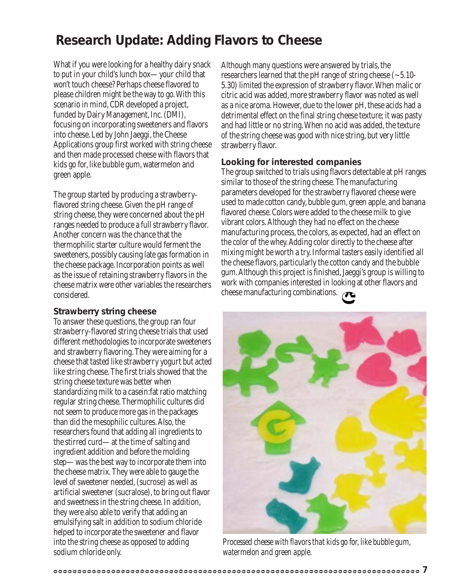# **Research Update: Adding Flavors to Cheese**

What if you were looking for a healthy dairy snack to put in your child's lunch box—your child that won't touch cheese? Perhaps cheese flavored to please children might be the way to go. With this scenario in mind, CDR developed a project, funded by Dairy Management, Inc. (DMI), focusing on incorporating sweeteners and flavors into cheese. Led by John Jaeggi, the Cheese Applications group first worked with string cheese and then made processed cheese with flavors that kids go for, like bubble gum, watermelon and green apple.

The group started by producing a strawberryflavored string cheese. Given the pH range of string cheese, they were concerned about the pH ranges needed to produce a full strawberry flavor. Another concern was the chance that the thermophilic starter culture would ferment the sweeteners, possibly causing late gas formation in the cheese package. Incorporation points as well as the issue of retaining strawberry flavors in the cheese matrix were other variables the researchers considered.

#### **Strawberry string cheese**

To answer these questions, the group ran four strawberry-flavored string cheese trials that used different methodologies to incorporate sweeteners and strawberry flavoring. They were aiming for a cheese that tasted like strawberry yogurt but acted like string cheese. The first trials showed that the string cheese texture was better when standardizing milk to a casein:fat ratio matching regular string cheese. Thermophilic cultures did not seem to produce more gas in the packages than did the mesophilic cultures. Also, the researchers found that adding all ingredients to the stirred curd—at the time of salting and ingredient addition and before the molding step—was the best way to incorporate them into the cheese matrix. They were able to gauge the level of sweetener needed, (sucrose) as well as artificial sweetener (sucralose), to bring out flavor and sweetness in the string cheese. In addition, they were also able to verify that adding an emulsifying salt in addition to sodium chloride helped to incorporate the sweetener and flavor into the string cheese as opposed to adding sodium chloride only.

Although many questions were answered by trials, the researchers learned that the pH range of string cheese  $(-5.10$ -5.30) limited the expression of strawberry flavor. When malic or citric acid was added, more strawberry flavor was noted as well as a nice aroma. However, due to the lower pH, these acids had a detrimental effect on the final string cheese texture; it was pasty and had little or no string. When no acid was added, the texture of the string cheese was good with nice string, but very little strawberry flavor.

### **Looking for interested companies**

The group switched to trials using flavors detectable at pH ranges similar to those of the string cheese. The manufacturing parameters developed for the strawberry flavored cheese were used to made cotton candy, bubble gum, green apple, and banana flavored cheese. Colors were added to the cheese milk to give vibrant colors. Although they had no effect on the cheese manufacturing process, the colors, as expected, had an effect on the color of the whey. Adding color directly to the cheese after mixing might be worth a try. Informal tasters easily identified all the cheese flavors, particularly the cotton candy and the bubble gum. Although this project is finished, Jaeggi's group is willing to work with companies interested in looking at other flavors and cheese manufacturing combinations.



*Processed cheese with flavors that kids go for, like bubble gum, watermelon and green apple.*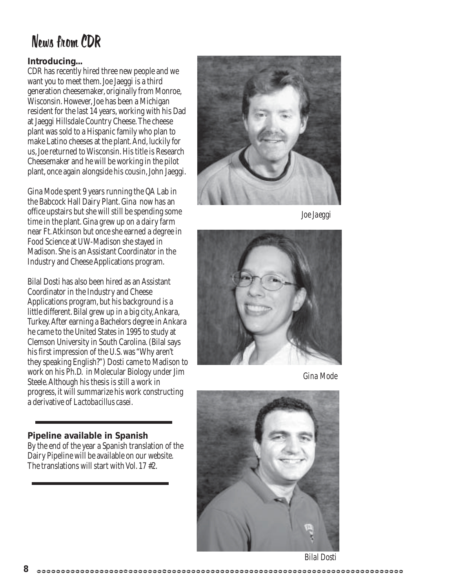# News from CDR

## **Introducing...**

CDR has recently hired three new people and we want you to meet them. Joe Jaeggi is a third generation cheesemaker, originally from Monroe, Wisconsin. However, Joe has been a Michigan resident for the last 14 years, working with his Dad at Jaeggi Hillsdale Country Cheese. The cheese plant was sold to a Hispanic family who plan to make Latino cheeses at the plant. And, luckily for us, Joe returned to Wisconsin. His title is Research Cheesemaker and he will be working in the pilot plant, once again alongside his cousin, John Jaeggi.

Gina Mode spent 9 years running the QA Lab in the Babcock Hall Dairy Plant. Gina now has an office upstairs but she will still be spending some time in the plant. Gina grew up on a dairy farm near Ft. Atkinson but once she earned a degree in Food Science at UW-Madison she stayed in Madison. She is an Assistant Coordinator in the Industry and Cheese Applications program.

Bilal Dosti has also been hired as an Assistant Coordinator in the Industry and Cheese Applications program, but his background is a little different. Bilal grew up in a big city, Ankara, Turkey. After earning a Bachelors degree in Ankara he came to the United States in 1995 to study at Clemson University in South Carolina. (Bilal says his first impression of the U.S. was "Why aren't they speaking English?") Dosti came to Madison to work on his Ph.D. in Molecular Biology under Jim Steele. Although his thesis is still a work in progress, it will summarize his work constructing a derivative of *Lactobacillus casei.*

**Pipeline available in Spanish** By the end of the year a Spanish translation of the Dairy Pipeline will be available on our website. The translations will start with Vol. 17 #2.



*Joe Jaeggi*



*Gina Mode*



*Bilal Dosti*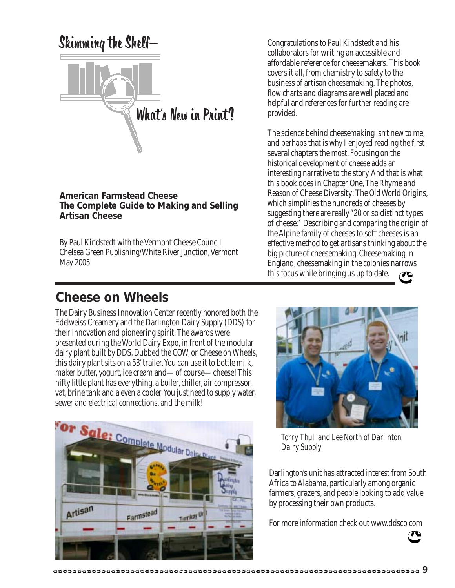

#### **American Farmstead Cheese The Complete Guide to Making and Selling Artisan Cheese**

By Paul Kindstedt with the Vermont Cheese Council Chelsea Green Publishing/White River Junction, Vermont May 2005

Congratulations to Paul Kindstedt and his collaborators for writing an accessible and affordable reference for cheesemakers. This book covers it all, from chemistry to safety to the business of artisan cheesemaking. The photos, flow charts and diagrams are well placed and helpful and references for further reading are provided.

The science behind cheesemaking isn't new to me, and perhaps that is why I enjoyed reading the first several chapters the most. Focusing on the historical development of cheese adds an interesting narrative to the story. And that is what this book does in Chapter One, The Rhyme and Reason of Cheese Diversity: The Old World Origins, which simplifies the hundreds of cheeses by suggesting there are really "20 or so distinct types of cheese." Describing and comparing the origin of the Alpine family of cheeses to soft cheeses is an effective method to get artisans thinking about the big picture of cheesemaking. Cheesemaking in England, cheesemaking in the colonies narrows this focus while bringing us up to date.

# **Cheese on Wheels**

The Dairy Business Innovation Center recently honored both the Edelweiss Creamery and the Darlington Dairy Supply (DDS) for their innovation and pioneering spirit. The awards were presented during the World Dairy Expo, in front of the modular dairy plant built by DDS. Dubbed the COW, or Cheese on Wheels, this dairy plant sits on a 53' trailer. You can use it to bottle milk, maker butter, yogurt, ice cream and—of course—cheese! This nifty little plant has everything, a boiler, chiller, air compressor, vat, brine tank and a even a cooler. You just need to supply water, sewer and electrical connections, and the milk!





*Torry Thuli and Lee North of Darlinton Dairy Supply*

Darlington's unit has attracted interest from South Africa to Alabama, particularly among organic farmers, grazers, and people looking to add value by processing their own products.

For more information check out www.ddsco.com

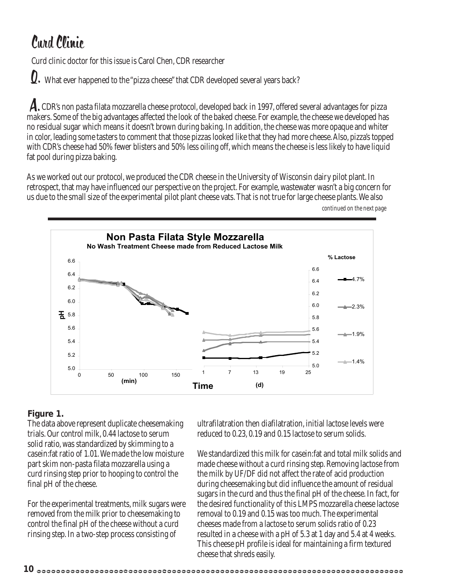# Curd Clinic

Curd clinic doctor for this issue is Carol Chen, CDR researcher

What ever happened to the "pizza cheese" that CDR developed several years back? Q.

A. CDR's non pasta filata mozzarella cheese protocol, developed back in 1997, offered several advantages for pizza makers. Some of the big advantages affected the look of the baked cheese. For example, the cheese we developed has no residual sugar which means it doesn't brown during baking. In addition, the cheese was more opaque and whiter in color, leading some tasters to comment that those pizzas looked like that they had more cheese. Also, pizza's topped with CDR's cheese had 50% fewer blisters and 50% less oiling off, which means the cheese is less likely to have liquid fat pool during pizza baking.

As we worked out our protocol, we produced the CDR cheese in the University of Wisconsin dairy pilot plant. In retrospect, that may have influenced our perspective on the project. For example, wastewater wasn't a big concern for us due to the small size of the experimental pilot plant cheese vats. That is not true for large cheese plants. We also *continued on the next page*



## **Figure 1.**

The data above represent duplicate cheesemaking trials. Our control milk, 0.44 lactose to serum solid ratio, was standardized by skimming to a casein:fat ratio of 1.01. We made the low moisture part skim non-pasta filata mozzarella using a curd rinsing step prior to hooping to control the final pH of the cheese.

For the experimental treatments, milk sugars were removed from the milk prior to cheesemaking to control the final pH of the cheese without a curd rinsing step. In a two-step process consisting of

ultrafilatration then diafilatration, initial lactose levels were reduced to 0.23, 0.19 and 0.15 lactose to serum solids.

We standardized this milk for casein:fat and total milk solids and made cheese without a curd rinsing step. Removing lactose from the milk by UF/DF did not affect the rate of acid production during cheesemaking but did influence the amount of residual sugars in the curd and thus the final pH of the cheese. In fact, for the desired functionality of this LMPS mozzarella cheese lactose removal to 0.19 and 0.15 was too much. The experimental cheeses made from a lactose to serum solids ratio of 0.23 resulted in a cheese with a pH of 5.3 at 1 day and 5.4 at 4 weeks. This cheese pH profile is ideal for maintaining a firm textured cheese that shreds easily.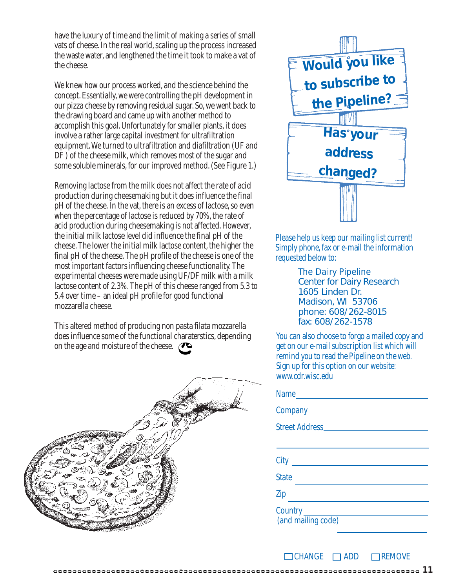have the luxury of time and the limit of making a series of small vats of cheese. In the real world, scaling up the process increased the waste water, and lengthened the time it took to make a vat of the cheese.

We knew how our process worked, and the science behind the concept. Essentially, we were controlling the pH development in our pizza cheese by removing residual sugar. So, we went back to the drawing board and came up with another method to accomplish this goal. Unfortunately for smaller plants, it does involve a rather large capital investment for ultrafiltration equipment. We turned to ultrafiltration and diafiltration (UF and DF ) of the cheese milk, which removes most of the sugar and some soluble minerals, for our improved method. (See Figure 1.)

Removing lactose from the milk does not affect the rate of acid production during cheesemaking but it does influence the final pH of the cheese. In the vat, there is an excess of lactose, so even when the percentage of lactose is reduced by 70%, the rate of acid production during cheesemaking is not affected. However, the initial milk lactose level did influence the final pH of the cheese. The lower the initial milk lactose content, the higher the final pH of the cheese. The pH profile of the cheese is one of the most important factors influencing cheese functionality. The experimental cheeses were made using UF/DF milk with a milk lactose content of 2.3%. The pH of this cheese ranged from 5.3 to 5.4 over time – an ideal pH profile for good functional mozzarella cheese.

This altered method of producing non pasta filata mozzarella does influence some of the functional charaterstics, depending on the age and moisture of the cheese.





Please help us keep our mailing list current! Simply phone, fax or e-mail the information requested below to:

> *The Dairy Pipeline* Center for Dairy Research 1605 Linden Dr. Madison, WI 53706 phone: 608/262-8015 fax: 608/262-1578

You can also choose to forgo a mailed copy and get on our e-mail subscription list which will remind you to read the Pipeline on the web. Sign up for this option on our website: www.cdr.wisc.edu

| Name                          |
|-------------------------------|
|                               |
|                               |
|                               |
| City                          |
| <b>State</b>                  |
| Zip                           |
| Country<br>(and mailing code) |

 $\Box$ CHANGE  $\Box$ ADD  $\Box$ REMOVE